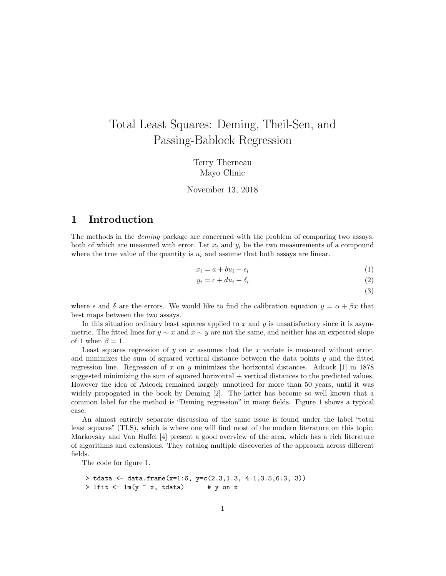# Total Least Squares: Deming, Theil-Sen, and Passing-Bablock Regression

Terry Therneau Mayo Clinic

November 13, 2018

#### 1 Introduction

The methods in the deming package are concerned with the problem of comparing two assays, both of which are measured with error. Let  $x_i$  and  $y_i$  be the two measurements of a compound where the true value of the quantity is  $u_i$  and assume that both assays are linear.

$$
x_i = a + bu_i + \epsilon_i \tag{1}
$$

$$
y_i = c + du_i + \delta_i \tag{2}
$$

(3)

where  $\epsilon$  and  $\delta$  are the errors. We would like to find the calibration equation  $y = \alpha + \beta x$  that best maps between the two assays.

In this situation ordinary least squares applied to  $x$  and  $y$  is unsatisfactory since it is asymmetric. The fitted lines for  $y \sim x$  and  $x \sim y$  are not the same, and neither has an expected slope of 1 when  $\beta = 1$ .

Least squares regression of y on x assumes that the x variate is measured without error, and minimizes the sum of squared vertical distance between the data points  $y$  and the fitted regression line. Regression of x on y minimizes the horizontal distances. Adcock [1] in 1878 suggested minimizing the sum of squared horizontal + vertical distances to the predicted values. However the idea of Adcock remained largely unnoticed for more than 50 years, until it was widely propogated in the book by Deming [2]. The latter has become so well known that a common label for the method is "Deming regression" in many fields. Figure 1 shows a typical case.

An almost entirely separate discussion of the same issue is found under the label "total least squares" (TLS), which is where one will find most of the modern literature on this topic. Markovsky and Van Huffel [4] present a good overview of the area, which has a rich literature of algorithms and extensions. They catalog multiple discoveries of the approach across different fields.

The code for figure 1.

```
> tdata <- data.frame(x=1:6, y=c(2.3,1.3, 4.1,3.5,6.3, 3))
> lfit <- lm(y \tilde{ } x, tdata) # y on x
```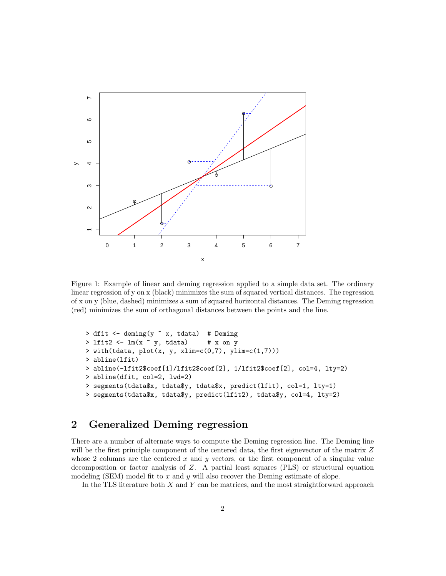

Figure 1: Example of linear and deming regression applied to a simple data set. The ordinary linear regression of y on x (black) minimizes the sum of squared vertical distances. The regression of x on y (blue, dashed) minimizes a sum of squared horizontal distances. The Deming regression (red) minimizes the sum of orthagonal distances between the points and the line.

```
> dfit <- deming(y \tilde{ } x, tdata) # Deming
> lfit2 <- lm(x \text{ }^{\sim} y, tdata) # x on y
> with(tdata, plot(x, y, xlim=c(0,7), ylim=c(1,7)))> abline(lfit)
> abline(-lfit2$coef[1]/lfit2$coef[2], 1/lfit2$coef[2], col=4, lty=2)
> abline(dfit, col=2, lwd=2)
> segments(tdata$x, tdata$y, tdata$x, predict(lfit), col=1, lty=1)
> segments(tdata$x, tdata$y, predict(lfit2), tdata$y, col=4, lty=2)
```
# 2 Generalized Deming regression

There are a number of alternate ways to compute the Deming regression line. The Deming line will be the first principle component of the centered data, the first eignevector of the matrix Z whose 2 columns are the centered  $x$  and  $y$  vectors, or the first component of a singular value decomposition or factor analysis of Z. A partial least squares (PLS) or structural equation modeling (SEM) model fit to  $x$  and  $y$  will also recover the Deming estimate of slope.

In the TLS literature both  $X$  and  $Y$  can be matrices, and the most straightforward approach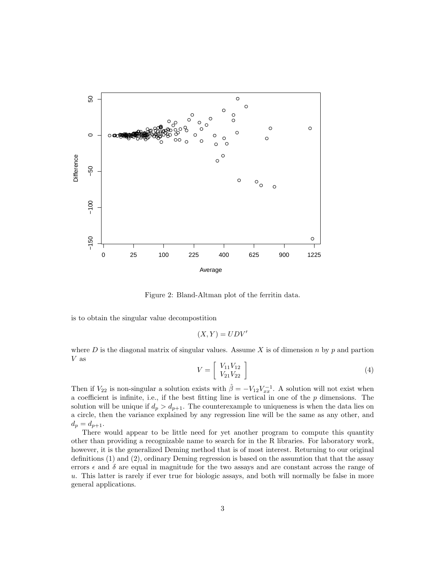

Figure 2: Bland-Altman plot of the ferritin data.

is to obtain the singular value decompostition

$$
(X,Y) = UDV'
$$

where  $D$  is the diagonal matrix of singular values. Assume  $X$  is of dimension  $n$  by  $p$  and partion  $\boldsymbol{V}$  as

$$
V = \left[ \begin{array}{c} V_{11}V_{12} \\ V_{21}V_{22} \end{array} \right] \tag{4}
$$

Then if  $V_{22}$  is non-singular a solution exists with  $\hat{\beta} = -V_{12}V_{xx}^{-1}$ . A solution will not exist when a coefficient is infinite, i.e., if the best fitting line is vertical in one of the  $p$  dimensions. The solution will be unique if  $d_p > d_{p+1}$ . The counterexample to uniqueness is when the data lies on a circle, then the variance explained by any regression line will be the same as any other, and  $d_p = d_{p+1}.$ 

There would appear to be little need for yet another program to compute this quantity other than providing a recognizable name to search for in the R libraries. For laboratory work, however, it is the generalized Deming method that is of most interest. Returning to our original definitions (1) and (2), ordinary Deming regression is based on the assumtion that that the assay errors  $\epsilon$  and  $\delta$  are equal in magnitude for the two assays and are constant across the range of u. This latter is rarely if ever true for biologic assays, and both will normally be false in more general applications.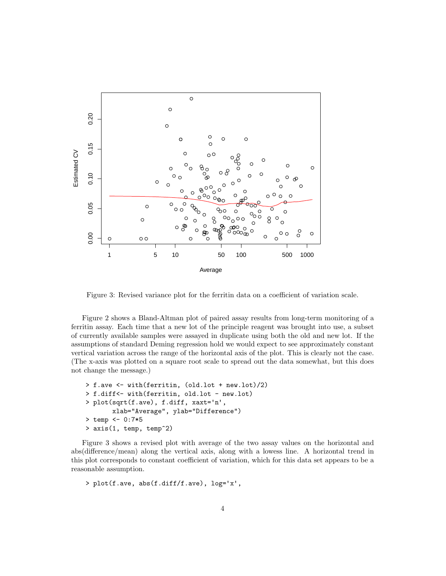

Figure 3: Revised variance plot for the ferritin data on a coefficient of variation scale.

Figure 2 shows a Bland-Altman plot of paired assay results from long-term monitoring of a ferritin assay. Each time that a new lot of the principle reagent was brought into use, a subset of currently available samples were assayed in duplicate using both the old and new lot. If the assumptions of standard Deming regression hold we would expect to see approximately constant vertical variation across the range of the horizontal axis of the plot. This is clearly not the case. (The x-axis was plotted on a square root scale to spread out the data somewhat, but this does not change the message.)

```
> f.ave <- with(ferritin, (old.lot + new.lot)/2)
> f.diff<- with(ferritin, old.lot - new.lot)
> plot(sqrt(f.ave), f.diff, xaxt='n',
       xlab="Average", ylab="Difference")
> temp <- 0:7*5
> axis(1, temp, temp^2)
```
Figure 3 shows a revised plot with average of the two assay values on the horizontal and abs(difference/mean) along the vertical axis, along with a lowess line. A horizontal trend in this plot corresponds to constant coefficient of variation, which for this data set appears to be a reasonable assumption.

> plot(f.ave, abs(f.diff/f.ave), log='x',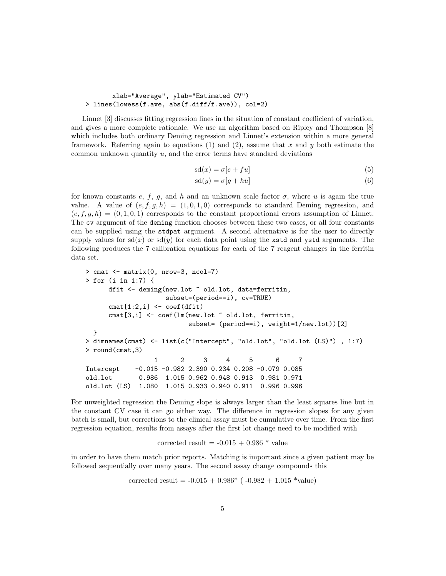#### xlab="Average", ylab="Estimated CV") > lines(lowess(f.ave, abs(f.diff/f.ave)), col=2)

Linnet [3] discusses fitting regression lines in the situation of constant coefficient of variation, and gives a more complete rationale. We use an algorithm based on Ripley and Thompson [8] which includes both ordinary Deming regression and Linnet's extension within a more general framework. Referring again to equations (1) and (2), assume that x and y both estimate the common unknown quantity  $u$ , and the error terms have standard deviations

$$
sd(x) = \sigma[e + fu] \tag{5}
$$

$$
sd(y) = \sigma[g + hu]
$$
\n(6)

for known constants e, f, g, and h and an unknown scale factor  $\sigma$ , where u is again the true value. A value of  $(e, f, g, h) = (1, 0, 1, 0)$  corresponds to standard Deming regression, and  $(e, f, g, h) = (0, 1, 0, 1)$  corresponds to the constant proportional errors assumption of Linnet. The cv argument of the deming function chooses between these two cases, or all four constants can be supplied using the stdpat argument. A second alternative is for the user to directly supply values for  $sd(x)$  or  $sd(y)$  for each data point using the **xstd** and ystd arguments. The following produces the 7 calibration equations for each of the 7 reagent changes in the ferritin data set.

```
> cmat <- matrix(0, nrow=3, ncol=7)
> for (i in 1:7) {
     dfit <- deming(new.lot ~ old.lot, data=ferritin,
                    subset=(period==i), cv=TRUE)
     cmat[1:2,i] \leftarrow coef(dfit)cmat[3,i] <- coef(lm(new.lot ~ old.lot, ferritin,
                         subset= (period==i), weight=1/new.lot))[2]
 }
> dimnames(cmat) <- list(c("Intercept", "old.lot", "old.lot (LS)") , 1:7)
> round(cmat,3)
                 1 2 3 4 5 6 7
Intercept -0.015 -0.982 2.390 0.234 0.208 -0.079 0.085
old.lot 0.986 1.015 0.962 0.948 0.913 0.981 0.971
old.lot (LS) 1.080 1.015 0.933 0.940 0.911 0.996 0.996
```
For unweighted regression the Deming slope is always larger than the least squares line but in the constant CV case it can go either way. The difference in regression slopes for any given batch is small, but corrections to the clinical assay must be cumulative over time. From the first regression equation, results from assays after the first lot change need to be modified with

corrected result  $= -0.015 + 0.986 *$  value

in order to have them match prior reports. Matching is important since a given patient may be followed sequentially over many years. The second assay change compounds this

corrected result =  $-0.015 + 0.986*$  ( $-0.982 + 1.015*$ value)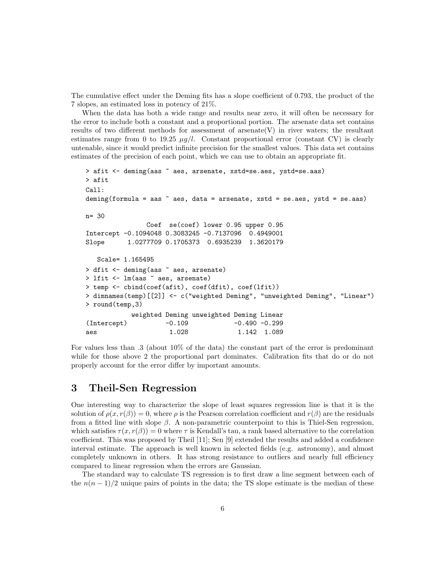The cumulative effect under the Deming fits has a slope coefficient of 0.793, the product of the 7 slopes, an estimated loss in potency of 21%.

When the data has both a wide range and results near zero, it will often be necessary for the error to include both a constant and a proportional portion. The arsenate data set contains results of two different methods for assessment of arsenate  $(V)$  in river waters; the resultant estimates range from 0 to 19.25  $\mu q/l$ . Constant proportional error (constant CV) is clearly untenable, since it would predict infinite precision for the smallest values. This data set contains estimates of the precision of each point, which we can use to obtain an appropriate fit.

```
> afit <- deming(aas ~ aes, arsenate, xstd=se.aes, ystd=se.aas)
> afit
Call:
deming(formula = aas \tilde{ } aes, data = arsenate, xstd = se.aes, ystd = se.aas)
n= 30
               Coef se(coef) lower 0.95 upper 0.95
Intercept -0.1094048 0.3083245 -0.7137096 0.4949001
Slope 1.0277709 0.1705373 0.6935239 1.3620179
   Scale= 1.165495
> dfit <- deming(aas \tilde{ } aes, arsenate)
> lfit <- lm(aas ~ aes, arsenate)
> temp <- cbind(coef(afit), coef(dfit), coef(lfit))
> dimnames(temp)[[2]] <- c("weighted Deming", "unweighted Deming", "Linear")
> round(temp,3)
           weighted Deming unweighted Deming Linear
(Intercept) -0.109 -0.490 -0.299
aes 1.028 1.142 1.089
```
For values less than .3 (about 10% of the data) the constant part of the error is predominant while for those above 2 the proportional part dominates. Calibration fits that do or do not properly account for the error differ by important amounts.

## 3 Theil-Sen Regression

One interesting way to characterize the slope of least squares regression line is that it is the solution of  $\rho(x, r(\beta)) = 0$ , where  $\rho$  is the Pearson correlation coefficient and  $r(\beta)$  are the residuals from a fitted line with slope  $\beta$ . A non-parametric counterpoint to this is Thiel-Sen regression, which satisfies  $\tau(x, r(\beta)) = 0$  where  $\tau$  is Kendall's tau, a rank based alternative to the correlation coefficient. This was proposed by Theil [11]; Sen [9] extended the results and added a confidence interval estimate. The approach is well known in selected fields (e.g. astronomy), and almost completely unknown in others. It has strong resistance to outliers and nearly full efficiency compared to linear regression when the errors are Gaussian.

The standard way to calculate TS regression is to first draw a line segment between each of the  $n(n-1)/2$  unique pairs of points in the data; the TS slope estimate is the median of these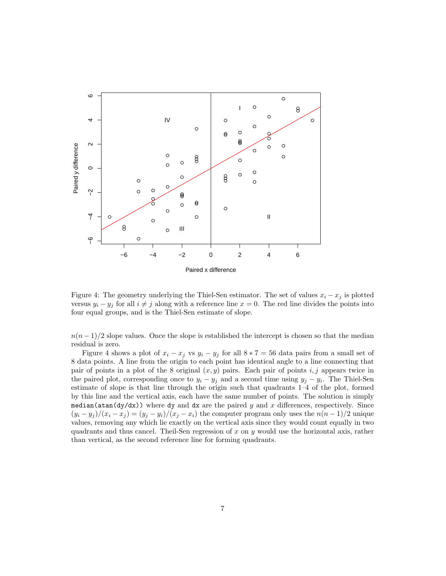

Figure 4: The geometry underlying the Thiel-Sen estimator. The set of values  $x_i - x_j$  is plotted versus  $y_i - y_j$  for all  $i \neq j$  along with a reference line  $x = 0$ . The red line divides the points into four equal groups, and is the Thiel-Sen estimate of slope.

 $n(n-1)/2$  slope values. Once the slope is established the intercept is chosen so that the median residual is zero.

Figure 4 shows a plot of  $x_i - x_j$  vs  $y_i - y_j$  for all  $8 * 7 = 56$  data pairs from a small set of 8 data points. A line from the origin to each point has identical angle to a line connecting that pair of points in a plot of the 8 original  $(x, y)$  pairs. Each pair of points i, j appears twice in the paired plot, corresponding once to  $y_i - y_j$  and a second time using  $y_j - y_i$ . The Thiel-Sen estimate of slope is that line through the origin such that quadrants 1–4 of the plot, formed by this line and the vertical axis, each have the same number of points. The solution is simply median( $\frac{dy}{dx}$ ) where dy and dx are the paired y and x differences, respectively. Since  $(y_i - y_j)/(x_i - x_j) = (y_j - y_i)/(x_j - x_i)$  the computer program only uses the  $n(n-1)/2$  unique values, removing any which lie exactly on the vertical axis since they would count equally in two quadrants and thus cancel. Theil-Sen regression of  $x$  on  $y$  would use the horizontal axis, rather than vertical, as the second reference line for forming quadrants.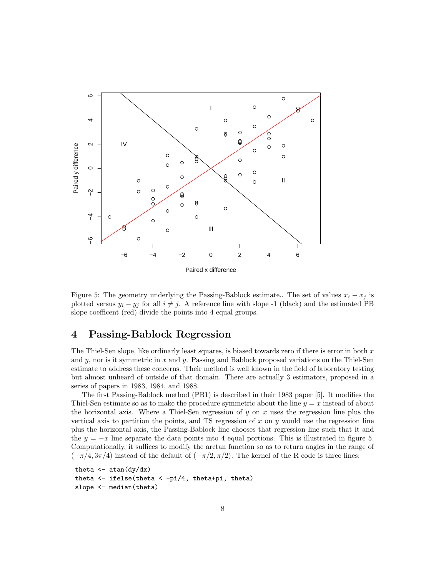

Figure 5: The geometry underlying the Passing-Bablock estimate.. The set of values  $x_i - x_j$  is plotted versus  $y_i - y_j$  for all  $i \neq j$ . A reference line with slope -1 (black) and the estimated PB slope coefficent (red) divide the points into 4 equal groups.

#### 4 Passing-Bablock Regression

The Thiel-Sen slope, like ordinarly least squares, is biased towards zero if there is error in both  $x$ and  $y$ , nor is it symmetric in  $x$  and  $y$ . Passing and Bablock proposed variations on the Thiel-Sen estimate to address these concerns. Their method is well known in the field of laboratory testing but almost unheard of outside of that domain. There are actually 3 estimators, proposed in a series of papers in 1983, 1984, and 1988.

The first Passing-Bablock method (PB1) is described in their 1983 paper [5]. It modifies the Thiel-Sen estimate so as to make the procedure symmetric about the line  $y = x$  instead of about the horizontal axis. Where a Thiel-Sen regression of y on x uses the regression line plus the vertical axis to partition the points, and TS regression of  $x$  on  $y$  would use the regression line plus the horizontal axis, the Passing-Bablock line chooses that regression line such that it and the  $y = -x$  line separate the data points into 4 equal portions. This is illustrated in figure 5. Computationally, it suffices to modify the arctan function so as to return angles in the range of  $(-\pi/4, 3\pi/4)$  instead of the default of  $(-\pi/2, \pi/2)$ . The kernel of the R code is three lines:

```
theta \leftarrow atan\left(\frac{dy}{dx}\right)theta <- ifelse(theta < -pi/4, theta+pi, theta)
slope <- median(theta)
```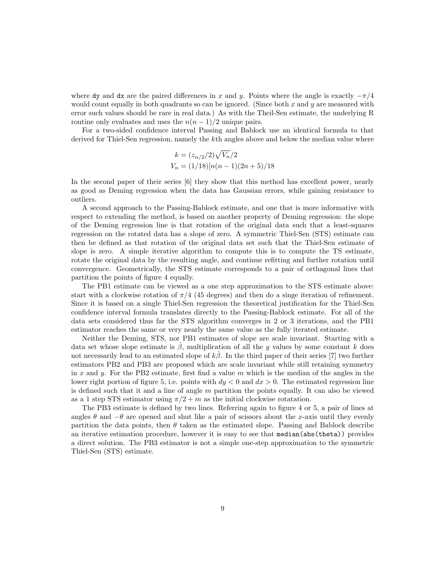where dy and dx are the paired differences in x and y. Points where the angle is exactly  $-\pi/4$ would count equally in both quadrants so can be ignored. (Since both  $x$  and  $y$  are measured with error such values should be rare in real data.) As with the Theil-Sen estimate, the underlying R routine only evaluates and uses the  $n(n-1)/2$  unique pairs.

For a two-sided confidence interval Passing and Bablock use an identical formula to that derived for Thiel-Sen regression, namely the kth angles above and below the median value where

$$
k = (z_{\alpha/2}/2)\sqrt{V_n}/2
$$
  
\n
$$
V_n = (1/18)[n(n-1)(2n+5)/18]
$$

In the second paper of their series [6] they show that this method has excellent power, nearly as good as Deming regression when the data has Gaussian errors, while gaining resistance to outliers.

A second approach to the Passing-Bablock estimate, and one that is more informative with respect to extending the method, is based on another property of Deming regression: the slope of the Deming regression line is that rotation of the original data such that a least-squares regression on the rotated data has a slope of zero. A symmetric Thiel-Sen (STS) estimate can then be defined as that rotation of the original data set such that the Thiel-Sen estimate of slope is zero. A simple iterative algorithm to compute this is to compute the TS estimate, rotate the original data by the resulting angle, and continue refitting and further rotation until convergence. Geometrically, the STS estimate corresponds to a pair of orthagonal lines that partition the points of figure 4 equally.

The PB1 estimate can be viewed as a one step approximation to the STS estimate above: start with a clockwise rotation of  $\pi/4$  (45 degrees) and then do a singe iteration of refinement. Since it is based on a single Thiel-Sen regression the theoretical justification for the Thiel-Sen confidence interval formula translates directly to the Passing-Bablock estimate. For all of the data sets considered thus far the STS algorithm converges in 2 or 3 iterations, and the PB1 estimator reaches the same or very nearly the same value as the fully iterated estimate.

Neither the Deming, STS, nor PB1 estimates of slope are scale invariant. Starting with a data set whose slope estimate is  $\beta$ , multiplication of all the y values by some constant k does not necessarily lead to an estimated slope of  $k\hat{\beta}$ . In the third paper of their series [7] two further estimators PB2 and PB3 are proposed which are scale invariant while still retaining symmetry in x and y. For the PB2 estimate, first find a value  $m$  which is the median of the angles in the lower right portion of figure 5, i.e. points with  $dy < 0$  and  $dx > 0$ . The estimated regression line is defined such that it and a line of angle  $m$  partition the points equally. It can also be viewed as a 1 step STS estimator using  $\pi/2 + m$  as the initial clockwise rotatation.

The PB3 estimate is defined by two lines. Referring again to figure 4 or 5, a pair of lines at angles  $\theta$  and  $-\theta$  are opened and shut like a pair of scissors about the x-axis until they evenly partition the data points, then  $\theta$  taken as the estimated slope. Passing and Bablock describe an iterative estimation procedure, however it is easy to see that median(abs(theta)) provides a direct solution. The PB3 estimator is not a simple one-step approximation to the symmetric Thiel-Sen (STS) estimate.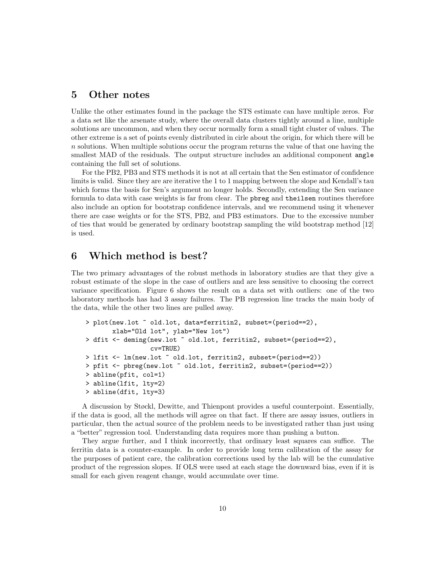#### 5 Other notes

Unlike the other estimates found in the package the STS estimate can have multiple zeros. For a data set like the arsenate study, where the overall data clusters tightly around a line, multiple solutions are uncommon, and when they occur normally form a small tight cluster of values. The other extreme is a set of points evenly distributed in cirle about the origin, for which there will be  $n$  solutions. When multiple solutions occur the program returns the value of that one having the smallest MAD of the residuals. The output structure includes an additional component angle containing the full set of solutions.

For the PB2, PB3 and STS methods it is not at all certain that the Sen estimator of confidence limits is valid. Since they are are iterative the 1 to 1 mapping between the slope and Kendall's tau which forms the basis for Sen's argument no longer holds. Secondly, extending the Sen variance formula to data with case weights is far from clear. The pbreg and theilsen routines therefore also include an option for bootstrap confidence intervals, and we recommend using it whenever there are case weights or for the STS, PB2, and PB3 estimators. Due to the excessive number of ties that would be generated by ordinary bootstrap sampling the wild bootstrap method [12] is used.

## 6 Which method is best?

The two primary advantages of the robust methods in laboratory studies are that they give a robust estimate of the slope in the case of outliers and are less sensitive to choosing the correct variance specification. Figure 6 shows the result on a data set with outliers: one of the two laboratory methods has had 3 assay failures. The PB regression line tracks the main body of the data, while the other two lines are pulled away.

```
> plot(new.lot ~ old.lot, data=ferritin2, subset=(period==2),
       xlab="Old lot", ylab="New lot")
> dfit <- deming(new.lot ~ old.lot, ferritin2, subset=(period==2),
                 cv=TRUE)
> lfit <- lm(new.lot ~ old.lot, ferritin2, subset=(period==2))
> pfit <- pbreg(new.lot ~ old.lot, ferritin2, subset=(period==2))
> abline(pfit, col=1)
> abline(lfit, lty=2)
> abline(dfit, lty=3)
```
A discussion by Støckl, Dewitte, and Thienpont provides a useful counterpoint. Essentially, if the data is good, all the methods will agree on that fact. If there are assay issues, outliers in particular, then the actual source of the problem needs to be investigated rather than just using a "better" regression tool. Understanding data requires more than pushing a button.

They argue further, and I think incorrectly, that ordinary least squares can suffice. The ferritin data is a counter-example. In order to provide long term calibration of the assay for the purposes of patient care, the calibration corrections used by the lab will be the cumulative product of the regression slopes. If OLS were used at each stage the downward bias, even if it is small for each given reagent change, would accumulate over time.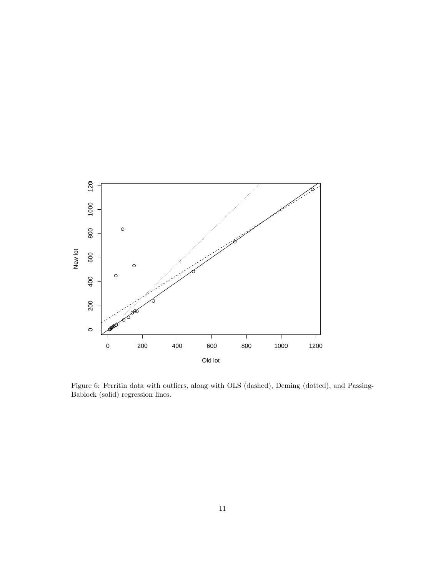

Figure 6: Ferritin data with outliers, along with OLS (dashed), Deming (dotted), and Passing-Bablock (solid) regression lines.